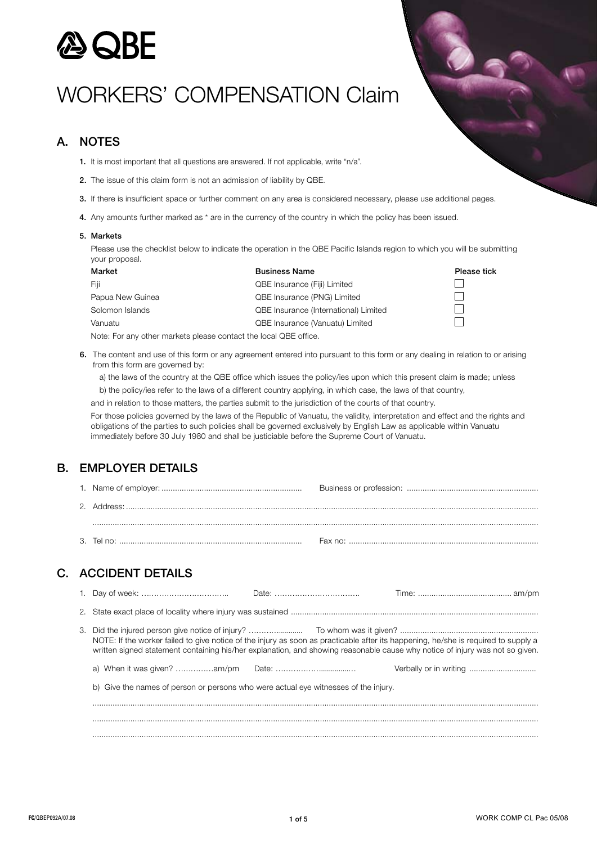

# Workers' Compensation Claim

## A. NOTES

- 1. It is most important that all questions are answered. If not applicable, write "n/a".
- 2. The issue of this claim form is not an admission of liability by QBE.
- 3. If there is insufficient space or further comment on any area is considered necessary, p
- 4. Any amounts further marked as \* are in the currency of the country in which the policy has been issued.

#### 5. Markets

Please use the checklist below to indicate the operation in the QBE Pacific Islands region to which you will be submitting your proposal.

| Market           | <b>Business Name</b>                         | Please tick |
|------------------|----------------------------------------------|-------------|
| Fiii             | <b>QBE Insurance (Fiji) Limited</b>          |             |
| Papua New Guinea | <b>QBE Insurance (PNG) Limited</b>           |             |
| Solomon Islands  | <b>QBE Insurance (International) Limited</b> |             |
| Vanuatu          | <b>QBE Insurance (Vanuatu) Limited</b>       |             |

Note: For any other markets please contact the local QBE office.

6. The content and use of this form or any agreement entered into pursuant to this form or any dealing in relation to or arising from this form are governed by:

a) the laws of the country at the QBE office which issues the policy/ies upon which this present claim is made; unless

b) the policy/ies refer to the laws of a different country applying, in which case, the laws of that country,

and in relation to those matters, the parties submit to the jurisdiction of the courts of that country.

For those policies governed by the laws of the Republic of Vanuatu, the validity, interpretation and effect and the rights and obligations of the parties to such policies shall be governed exclusively by English Law as applicable within Vanuatu immediately before 30 July 1980 and shall be justiciable before the Supreme Court of Vanuatu.

## B. EMPLOYER DETAILS

| 2. |                                                                                                                                                                                                                                                                    |  |
|----|--------------------------------------------------------------------------------------------------------------------------------------------------------------------------------------------------------------------------------------------------------------------|--|
|    |                                                                                                                                                                                                                                                                    |  |
|    |                                                                                                                                                                                                                                                                    |  |
|    |                                                                                                                                                                                                                                                                    |  |
|    | <b>C. ACCIDENT DETAILS</b>                                                                                                                                                                                                                                         |  |
|    |                                                                                                                                                                                                                                                                    |  |
| 2. |                                                                                                                                                                                                                                                                    |  |
|    | NOTE: If the worker failed to give notice of the injury as soon as practicable after its happening, he/she is required to supply a<br>written signed statement containing his/her explanation, and showing reasonable cause why notice of injury was not so given. |  |
|    |                                                                                                                                                                                                                                                                    |  |
|    | b) Give the names of person or persons who were actual eye witnesses of the injury.                                                                                                                                                                                |  |
|    |                                                                                                                                                                                                                                                                    |  |
|    |                                                                                                                                                                                                                                                                    |  |
|    |                                                                                                                                                                                                                                                                    |  |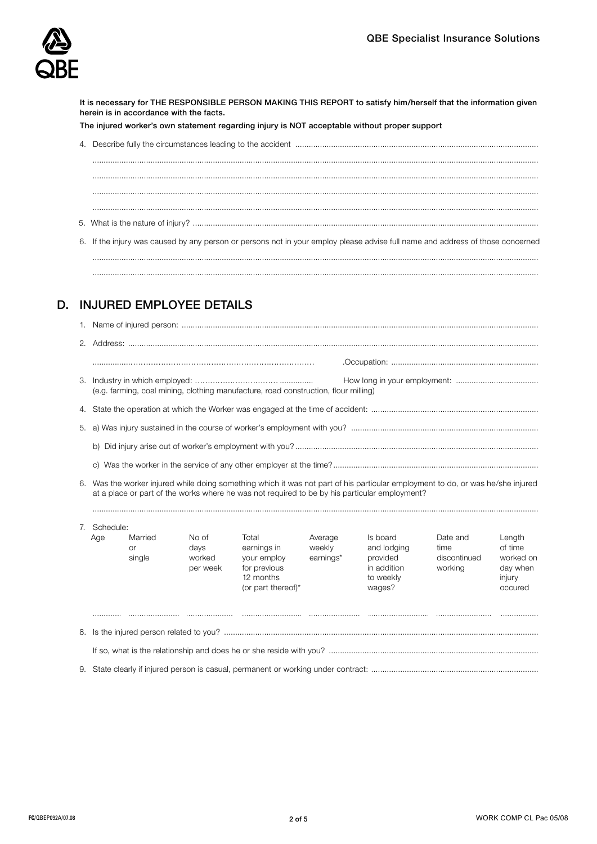

It is necessary for THE RESPONSIBLE PERSON MAKING THIS REPORT to satisfy him/herself that the information given herein is in accordance with the facts.

The injured worker's own statement regarding injury is NOT acceptable without proper support

| 6. If the injury was caused by any person or persons not in your employ please advise full name and address of those concerned |
|--------------------------------------------------------------------------------------------------------------------------------|

........................................................................................................................................................................................................ ........................................................................................................................................................................................................

## D. INJURED EMPLOYEE DETAILS

| 3. | (e.g. farming, coal mining, clothing manufacture, road construction, flour milling)                                                                                                                                              |                                |                                     |                                                                                        |                                |                                                                           |                                             |                                                                 |
|----|----------------------------------------------------------------------------------------------------------------------------------------------------------------------------------------------------------------------------------|--------------------------------|-------------------------------------|----------------------------------------------------------------------------------------|--------------------------------|---------------------------------------------------------------------------|---------------------------------------------|-----------------------------------------------------------------|
| 4. |                                                                                                                                                                                                                                  |                                |                                     |                                                                                        |                                |                                                                           |                                             |                                                                 |
| 5. |                                                                                                                                                                                                                                  |                                |                                     |                                                                                        |                                |                                                                           |                                             |                                                                 |
|    |                                                                                                                                                                                                                                  |                                |                                     |                                                                                        |                                |                                                                           |                                             |                                                                 |
|    |                                                                                                                                                                                                                                  |                                |                                     |                                                                                        |                                |                                                                           |                                             |                                                                 |
|    | 6. Was the worker injured while doing something which it was not part of his particular employment to do, or was he/she injured<br>at a place or part of the works where he was not required to be by his particular employment? |                                |                                     |                                                                                        |                                |                                                                           |                                             |                                                                 |
| 7. | Schedule:                                                                                                                                                                                                                        |                                |                                     |                                                                                        |                                |                                                                           |                                             |                                                                 |
|    | Age                                                                                                                                                                                                                              | Married<br><b>or</b><br>single | No of<br>days<br>worked<br>per week | Total<br>earnings in<br>your employ<br>for previous<br>12 months<br>(or part thereof)* | Average<br>weekly<br>earnings* | Is board<br>and lodging<br>provided<br>in addition<br>to weekly<br>wages? | Date and<br>time<br>discontinued<br>working | Length<br>of time<br>worked on<br>day when<br>injury<br>occured |
|    |                                                                                                                                                                                                                                  |                                |                                     |                                                                                        |                                |                                                                           |                                             |                                                                 |
|    |                                                                                                                                                                                                                                  |                                |                                     |                                                                                        |                                |                                                                           |                                             |                                                                 |
|    |                                                                                                                                                                                                                                  |                                |                                     |                                                                                        |                                |                                                                           |                                             |                                                                 |
|    |                                                                                                                                                                                                                                  |                                |                                     |                                                                                        |                                |                                                                           |                                             |                                                                 |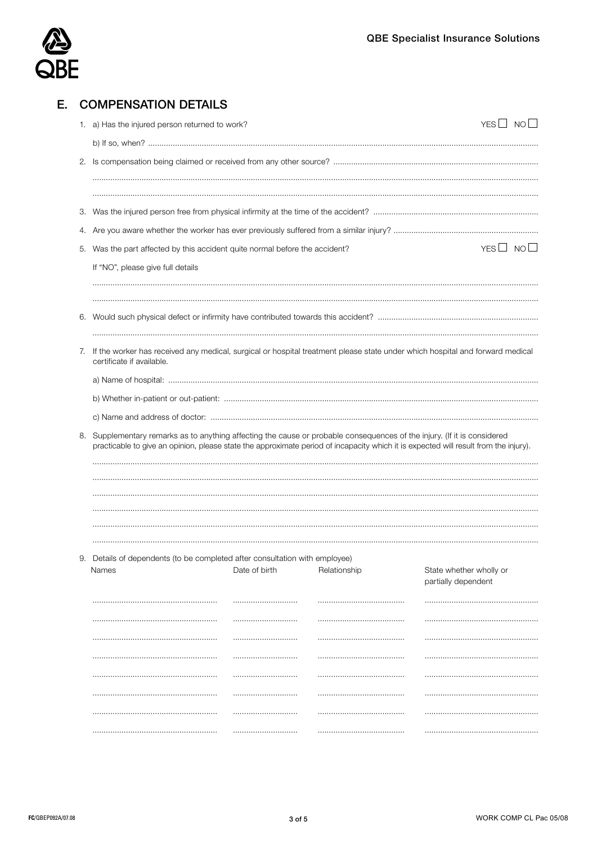

|    | <b>COMPENSATION DETAILS</b>                                                                                                                                                                                                                                   |                      |              |                         |  |  |  |  |
|----|---------------------------------------------------------------------------------------------------------------------------------------------------------------------------------------------------------------------------------------------------------------|----------------------|--------------|-------------------------|--|--|--|--|
|    | 1. a) Has the injured person returned to work?                                                                                                                                                                                                                |                      |              | $YES \Box NO \Box$      |  |  |  |  |
|    |                                                                                                                                                                                                                                                               |                      |              |                         |  |  |  |  |
|    |                                                                                                                                                                                                                                                               |                      |              |                         |  |  |  |  |
|    |                                                                                                                                                                                                                                                               |                      |              |                         |  |  |  |  |
|    |                                                                                                                                                                                                                                                               |                      |              |                         |  |  |  |  |
| З. |                                                                                                                                                                                                                                                               |                      |              |                         |  |  |  |  |
|    |                                                                                                                                                                                                                                                               |                      |              |                         |  |  |  |  |
| 5. | Was the part affected by this accident quite normal before the accident?                                                                                                                                                                                      | YES $\Box$ NO $\Box$ |              |                         |  |  |  |  |
|    | If "NO", please give full details                                                                                                                                                                                                                             |                      |              |                         |  |  |  |  |
| 6. |                                                                                                                                                                                                                                                               |                      |              |                         |  |  |  |  |
| 7. | If the worker has received any medical, surgical or hospital treatment please state under which hospital and forward medical<br>certificate if available.                                                                                                     |                      |              |                         |  |  |  |  |
|    |                                                                                                                                                                                                                                                               |                      |              |                         |  |  |  |  |
|    |                                                                                                                                                                                                                                                               |                      |              |                         |  |  |  |  |
|    |                                                                                                                                                                                                                                                               |                      |              |                         |  |  |  |  |
| 8. | Supplementary remarks as to anything affecting the cause or probable consequences of the injury. (If it is considered<br>practicable to give an opinion, please state the approximate period of incapacity which it is expected will result from the injury). |                      |              |                         |  |  |  |  |
|    |                                                                                                                                                                                                                                                               |                      |              |                         |  |  |  |  |
|    | 9. Details of dependents (to be completed after consultation with employee)<br>Names                                                                                                                                                                          | Date of birth        | Relationship | State whether wholly or |  |  |  |  |
|    |                                                                                                                                                                                                                                                               |                      |              | partially dependent     |  |  |  |  |
|    |                                                                                                                                                                                                                                                               |                      |              |                         |  |  |  |  |
|    |                                                                                                                                                                                                                                                               |                      |              |                         |  |  |  |  |
|    |                                                                                                                                                                                                                                                               |                      |              |                         |  |  |  |  |
|    |                                                                                                                                                                                                                                                               |                      |              |                         |  |  |  |  |
|    |                                                                                                                                                                                                                                                               |                      |              |                         |  |  |  |  |
|    |                                                                                                                                                                                                                                                               |                      |              |                         |  |  |  |  |
|    |                                                                                                                                                                                                                                                               |                      |              |                         |  |  |  |  |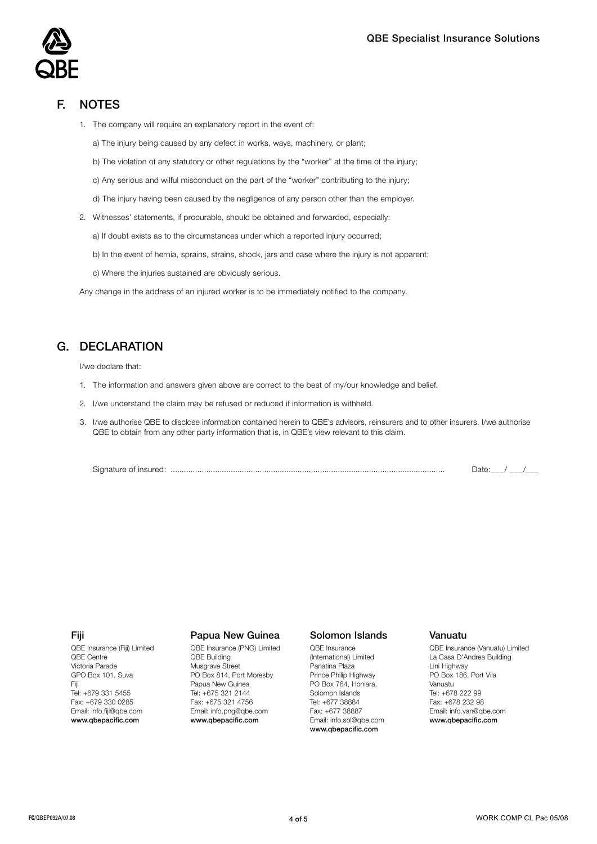## F. NOTES

1. The company will require an explanatory report in the event of:

a) The injury being caused by any defect in works, ways, machinery, or plant;

b) The violation of any statutory or other regulations by the "worker" at the time of the injury;

c) Any serious and wilful misconduct on the part of the "worker" contributing to the injury;

d) The injury having been caused by the negligence of any person other than the employer.

2. Witnesses' statements, if procurable, should be obtained and forwarded, especially:

a) If doubt exists as to the circumstances under which a reported injury occurred;

- b) In the event of hernia, sprains, strains, shock, jars and case where the injury is not apparent;
- c) Where the injuries sustained are obviously serious.

Any change in the address of an injured worker is to be immediately notified to the company.

## G. DECLARATION

I/we declare that:

- 1. The information and answers given above are correct to the best of my/our knowledge and belief.
- 2. I/we understand the claim may be refused or reduced if information is withheld.
- 3. I/we authorise QBE to disclose information contained herein to QBE's advisors, reinsurers and to other insurers. I/we authorise QBE to obtain from any other party information that is, in QBE's view relevant to this claim.

Signature of insured: ........................................................................................................................... Date:\_\_\_/ \_\_\_/\_\_\_

### Fiji

QBE Insurance (Fiji) Limited QBE Centre Victoria Parade GPO Box 101, Suva Fiji Tel: +679 331 5455 Fax: +679 330 0285 Email: info.fiji@qbe.com www.qbepacific.com

#### Papua New Guinea

QBE Insurance (PNG) Limited QBE Building Musgrave Street PO Box 814, Port Moresby Papua New Guinea Tel: +675 321 2144 Fax: +675 321 4756 Email: info.png@qbe.com www.qbepacific.com

### Solomon Islands

QBE Insurance (International) Limited Panatina Plaza Prince Philip Highway PO Box 764, Honiara, Solomon Islands Tel: +677 38884 Fax: +677 38887 Email: info.sol@qbe.com www.qbepacific.com

#### Vanuatu

QBE Insurance (Vanuatu) Limited La Casa D'Andrea Building Lini Highway PO Box 186, Port Vila Vanuatu Tel: +678 222 99 Fax: +678 232 98 Email: info.van@qbe.com www.qbepacific.com